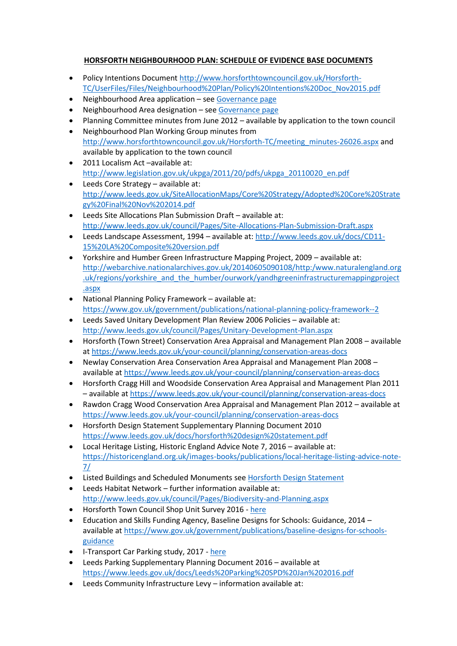## **HORSFORTH NEIGHBOURHOOD PLAN: SCHEDULE OF EVIDENCE BASE DOCUMENTS**

- Policy Intentions Document [http://www.horsforthtowncouncil.gov.uk/Horsforth-](http://www.horsforthtowncouncil.gov.uk/Horsforth-TC/UserFiles/Files/Neighbourhood%20Plan/Policy%20Intentions%20Doc_Nov2015.pdf)[TC/UserFiles/Files/Neighbourhood%20Plan/Policy%20Intentions%20Doc\\_Nov2015.pdf](http://www.horsforthtowncouncil.gov.uk/Horsforth-TC/UserFiles/Files/Neighbourhood%20Plan/Policy%20Intentions%20Doc_Nov2015.pdf)
- Neighbourhood Area application see [Governance page](http://www.horsforthtowncouncil.gov.uk/Horsforth-TC/governance-26026.aspx)
- Neighbourhood Area designation se[e Governance page](http://www.horsforthtowncouncil.gov.uk/Horsforth-TC/governance-26026.aspx)
- Planning Committee minutes from June 2012 available by application to the town council
- Neighbourhood Plan Working Group minutes from [http://www.horsforthtowncouncil.gov.uk/Horsforth-TC/meeting\\_minutes-26026.aspx](http://www.horsforthtowncouncil.gov.uk/Horsforth-TC/meeting_minutes-26026.aspx) and available by application to the town council
- 2011 Localism Act –available at: [http://www.legislation.gov.uk/ukpga/2011/20/pdfs/ukpga\\_20110020\\_en.pdf](http://www.legislation.gov.uk/ukpga/2011/20/pdfs/ukpga_20110020_en.pdf)
- Leeds Core Strategy available at: [http://www.leeds.gov.uk/SiteAllocationMaps/Core%20Strategy/Adopted%20Core%20Strate](http://www.leeds.gov.uk/SiteAllocationMaps/Core%20Strategy/Adopted%20Core%20Strategy%20Final%20Nov%202014.pdf) [gy%20Final%20Nov%202014.pdf](http://www.leeds.gov.uk/SiteAllocationMaps/Core%20Strategy/Adopted%20Core%20Strategy%20Final%20Nov%202014.pdf)
- Leeds Site Allocations Plan Submission Draft available at: <http://www.leeds.gov.uk/council/Pages/Site-Allocations-Plan-Submission-Draft.aspx>
- Leeds Landscape Assessment, 1994 available at: [http://www.leeds.gov.uk/docs/CD11-](http://www.leeds.gov.uk/docs/CD11-15%20LA%20Composite%20version.pdf) [15%20LA%20Composite%20version.pdf](http://www.leeds.gov.uk/docs/CD11-15%20LA%20Composite%20version.pdf)
- Yorkshire and Humber Green Infrastructure Mapping Project, 2009 available at: [http://webarchive.nationalarchives.gov.uk/20140605090108/http:/www.naturalengland.org](http://webarchive.nationalarchives.gov.uk/20140605090108/http:/www.naturalengland.org.uk/regions/yorkshire_and_the_humber/ourwork/yandhgreeninfrastructuremappingproject.aspx) [.uk/regions/yorkshire\\_and\\_the\\_humber/ourwork/yandhgreeninfrastructuremappingproject](http://webarchive.nationalarchives.gov.uk/20140605090108/http:/www.naturalengland.org.uk/regions/yorkshire_and_the_humber/ourwork/yandhgreeninfrastructuremappingproject.aspx) [.aspx](http://webarchive.nationalarchives.gov.uk/20140605090108/http:/www.naturalengland.org.uk/regions/yorkshire_and_the_humber/ourwork/yandhgreeninfrastructuremappingproject.aspx)
- National Planning Policy Framework available at: <https://www.gov.uk/government/publications/national-planning-policy-framework--2>
- Leeds Saved Unitary Development Plan Review 2006 Policies available at: <http://www.leeds.gov.uk/council/Pages/Unitary-Development-Plan.aspx>
- Horsforth (Town Street) Conservation Area Appraisal and Management Plan 2008 available at <https://www.leeds.gov.uk/your-council/planning/conservation-areas-docs>
- Newlay Conservation Area Conservation Area Appraisal and Management Plan 2008 available at <https://www.leeds.gov.uk/your-council/planning/conservation-areas-docs>
- Horsforth Cragg Hill and Woodside Conservation Area Appraisal and Management Plan 2011 – available at <https://www.leeds.gov.uk/your-council/planning/conservation-areas-docs>
- Rawdon Cragg Wood Conservation Area Appraisal and Management Plan 2012 available at <https://www.leeds.gov.uk/your-council/planning/conservation-areas-docs>
- Horsforth Design Statement Supplementary Planning Document 2010 <https://www.leeds.gov.uk/docs/horsforth%20design%20statement.pdf>
- Local Heritage Listing, Historic England Advice Note 7, 2016 available at: [https://historicengland.org.uk/images-books/publications/local-heritage-listing-advice-note-](https://historicengland.org.uk/images-books/publications/local-heritage-listing-advice-note-7/)[7/](https://historicengland.org.uk/images-books/publications/local-heritage-listing-advice-note-7/)
- Listed Buildings and Scheduled Monuments see [Horsforth Design Statement](https://www.leeds.gov.uk/docs/horsforth%20design%20statement.pdf)
- Leeds Habitat Network further information available at: <http://www.leeds.gov.uk/council/Pages/Biodiversity-and-Planning.aspx>
- Horsforth Town Council Shop Unit Survey 2016 [here](http://www.horsforthtowncouncil.gov.uk/Horsforth-TC/UserFiles/Files/Agenda%202016%2017/ShopanalysisJuly2016.pdf)
- Education and Skills Funding Agency, Baseline Designs for Schools: Guidance, 2014 available a[t https://www.gov.uk/government/publications/baseline-designs-for-schools](https://www.gov.uk/government/publications/baseline-designs-for-schools-guidance)[guidance](https://www.gov.uk/government/publications/baseline-designs-for-schools-guidance)
- I-Transport Car Parking study, 2017 [here](http://www.horsforthtowncouncil.gov.uk/Horsforth-TC/UserFiles/Files/Agenda%202016%2017/Parking.pdf)
- Leeds Parking Supplementary Planning Document 2016 available at <https://www.leeds.gov.uk/docs/Leeds%20Parking%20SPD%20Jan%202016.pdf>
- Leeds Community Infrastructure Levy information available at: